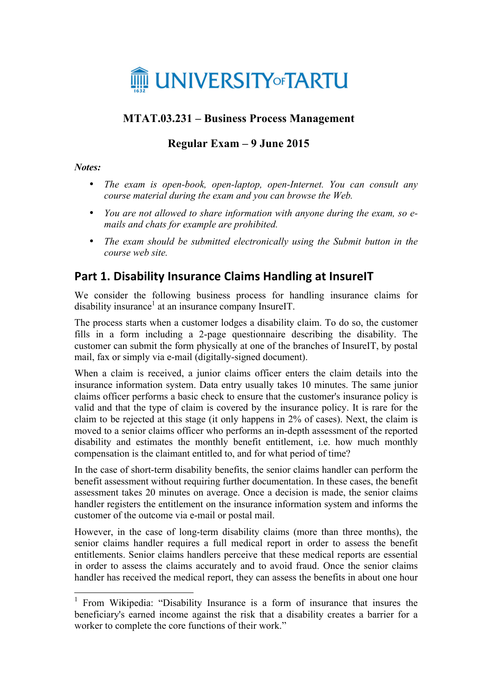

### **MTAT.03.231 – Business Process Management**

# **Regular Exam – 9 June 2015**

#### *Notes:*

- *The exam is open-book, open-laptop, open-Internet. You can consult any course material during the exam and you can browse the Web.*
- *You are not allowed to share information with anyone during the exam, so emails and chats for example are prohibited.*
- *The exam should be submitted electronically using the Submit button in the course web site.*

## **Part 1. Disability Insurance Claims Handling at InsureIT**

We consider the following business process for handling insurance claims for  $disability$  insurance<sup>1</sup> at an insurance company InsureIT.

The process starts when a customer lodges a disability claim. To do so, the customer fills in a form including a 2-page questionnaire describing the disability. The customer can submit the form physically at one of the branches of InsureIT, by postal mail, fax or simply via e-mail (digitally-signed document).

When a claim is received, a junior claims officer enters the claim details into the insurance information system. Data entry usually takes 10 minutes. The same junior claims officer performs a basic check to ensure that the customer's insurance policy is valid and that the type of claim is covered by the insurance policy. It is rare for the claim to be rejected at this stage (it only happens in 2% of cases). Next, the claim is moved to a senior claims officer who performs an in-depth assessment of the reported disability and estimates the monthly benefit entitlement, i.e. how much monthly compensation is the claimant entitled to, and for what period of time?

In the case of short-term disability benefits, the senior claims handler can perform the benefit assessment without requiring further documentation. In these cases, the benefit assessment takes 20 minutes on average. Once a decision is made, the senior claims handler registers the entitlement on the insurance information system and informs the customer of the outcome via e-mail or postal mail.

However, in the case of long-term disability claims (more than three months), the senior claims handler requires a full medical report in order to assess the benefit entitlements. Senior claims handlers perceive that these medical reports are essential in order to assess the claims accurately and to avoid fraud. Once the senior claims handler has received the medical report, they can assess the benefits in about one hour

 <sup>1</sup> From Wikipedia: "Disability Insurance is a form of insurance that insures the beneficiary's earned income against the risk that a disability creates a barrier for a worker to complete the core functions of their work."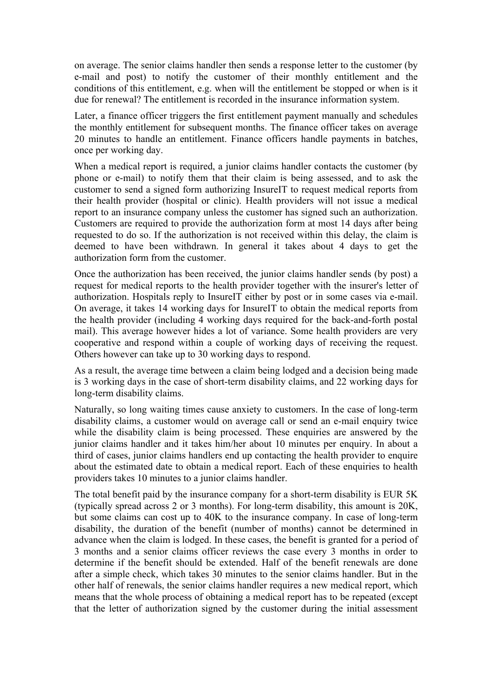on average. The senior claims handler then sends a response letter to the customer (by e-mail and post) to notify the customer of their monthly entitlement and the conditions of this entitlement, e.g. when will the entitlement be stopped or when is it due for renewal? The entitlement is recorded in the insurance information system.

Later, a finance officer triggers the first entitlement payment manually and schedules the monthly entitlement for subsequent months. The finance officer takes on average 20 minutes to handle an entitlement. Finance officers handle payments in batches, once per working day.

When a medical report is required, a junior claims handler contacts the customer (by phone or e-mail) to notify them that their claim is being assessed, and to ask the customer to send a signed form authorizing InsureIT to request medical reports from their health provider (hospital or clinic). Health providers will not issue a medical report to an insurance company unless the customer has signed such an authorization. Customers are required to provide the authorization form at most 14 days after being requested to do so. If the authorization is not received within this delay, the claim is deemed to have been withdrawn. In general it takes about 4 days to get the authorization form from the customer.

Once the authorization has been received, the junior claims handler sends (by post) a request for medical reports to the health provider together with the insurer's letter of authorization. Hospitals reply to InsureIT either by post or in some cases via e-mail. On average, it takes 14 working days for InsureIT to obtain the medical reports from the health provider (including 4 working days required for the back-and-forth postal mail). This average however hides a lot of variance. Some health providers are very cooperative and respond within a couple of working days of receiving the request. Others however can take up to 30 working days to respond.

As a result, the average time between a claim being lodged and a decision being made is 3 working days in the case of short-term disability claims, and 22 working days for long-term disability claims.

Naturally, so long waiting times cause anxiety to customers. In the case of long-term disability claims, a customer would on average call or send an e-mail enquiry twice while the disability claim is being processed. These enquiries are answered by the junior claims handler and it takes him/her about 10 minutes per enquiry. In about a third of cases, junior claims handlers end up contacting the health provider to enquire about the estimated date to obtain a medical report. Each of these enquiries to health providers takes 10 minutes to a junior claims handler.

The total benefit paid by the insurance company for a short-term disability is EUR 5K (typically spread across 2 or 3 months). For long-term disability, this amount is 20K, but some claims can cost up to 40K to the insurance company. In case of long-term disability, the duration of the benefit (number of months) cannot be determined in advance when the claim is lodged. In these cases, the benefit is granted for a period of 3 months and a senior claims officer reviews the case every 3 months in order to determine if the benefit should be extended. Half of the benefit renewals are done after a simple check, which takes 30 minutes to the senior claims handler. But in the other half of renewals, the senior claims handler requires a new medical report, which means that the whole process of obtaining a medical report has to be repeated (except that the letter of authorization signed by the customer during the initial assessment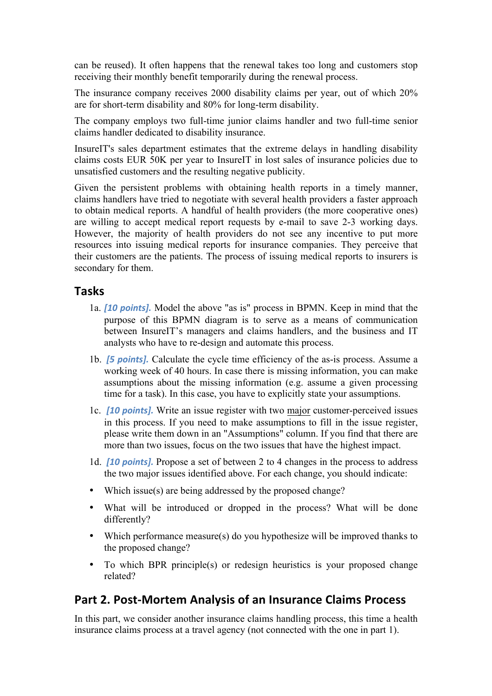can be reused). It often happens that the renewal takes too long and customers stop receiving their monthly benefit temporarily during the renewal process.

The insurance company receives 2000 disability claims per year, out of which 20% are for short-term disability and 80% for long-term disability.

The company employs two full-time junior claims handler and two full-time senior claims handler dedicated to disability insurance.

InsureIT's sales department estimates that the extreme delays in handling disability claims costs EUR 50K per year to InsureIT in lost sales of insurance policies due to unsatisfied customers and the resulting negative publicity.

Given the persistent problems with obtaining health reports in a timely manner, claims handlers have tried to negotiate with several health providers a faster approach to obtain medical reports. A handful of health providers (the more cooperative ones) are willing to accept medical report requests by e-mail to save 2-3 working days. However, the majority of health providers do not see any incentive to put more resources into issuing medical reports for insurance companies. They perceive that their customers are the patients. The process of issuing medical reports to insurers is secondary for them.

#### **Tasks**

- 1a. *[10 points].* Model the above "as is" process in BPMN. Keep in mind that the purpose of this BPMN diagram is to serve as a means of communication between InsureIT's managers and claims handlers, and the business and IT analysts who have to re-design and automate this process.
- 1b. **[5 points].** Calculate the cycle time efficiency of the as-is process. Assume a working week of 40 hours. In case there is missing information, you can make assumptions about the missing information (e.g. assume a given processing time for a task). In this case, you have to explicitly state your assumptions.
- 1c. *[10 points].* Write an issue register with two major customer-perceived issues in this process. If you need to make assumptions to fill in the issue register, please write them down in an "Assumptions" column. If you find that there are more than two issues, focus on the two issues that have the highest impact.
- 1d. *[10 points].* Propose a set of between 2 to 4 changes in the process to address the two major issues identified above. For each change, you should indicate:
- Which issue(s) are being addressed by the proposed change?
- What will be introduced or dropped in the process? What will be done differently?
- Which performance measure(s) do you hypothesize will be improved thanks to the proposed change?
- To which BPR principle(s) or redesign heuristics is your proposed change related?

### Part 2. Post-Mortem Analysis of an Insurance Claims Process

In this part, we consider another insurance claims handling process, this time a health insurance claims process at a travel agency (not connected with the one in part 1).